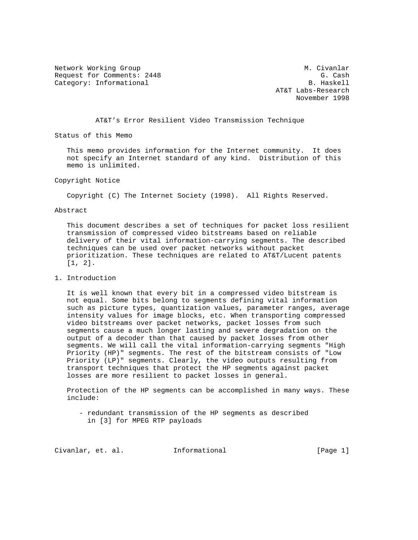Network Working Group Metwork Muslim Civanlar Request for Comments: 2448 G. Cash G. Cash G. Cash G. Cash G. Cash G. Cash G. Cash G. Cash G. Cash G. Cash G. Cash G. Cash G. Cash G. Cash G. Cash G. Cash G. Cash G. Cash G. Cash G. Cash G. Cash G. Cash G. Cash G. Cash G. Category: Informational

 AT&T Labs-Research November 1998

AT&T's Error Resilient Video Transmission Technique

Status of this Memo

 This memo provides information for the Internet community. It does not specify an Internet standard of any kind. Distribution of this memo is unlimited.

Copyright Notice

Copyright (C) The Internet Society (1998). All Rights Reserved.

## Abstract

 This document describes a set of techniques for packet loss resilient transmission of compressed video bitstreams based on reliable delivery of their vital information-carrying segments. The described techniques can be used over packet networks without packet prioritization. These techniques are related to AT&T/Lucent patents [1, 2].

# 1. Introduction

 It is well known that every bit in a compressed video bitstream is not equal. Some bits belong to segments defining vital information such as picture types, quantization values, parameter ranges, average intensity values for image blocks, etc. When transporting compressed video bitstreams over packet networks, packet losses from such segments cause a much longer lasting and severe degradation on the output of a decoder than that caused by packet losses from other segments. We will call the vital information-carrying segments "High Priority (HP)" segments. The rest of the bitstream consists of "Low Priority (LP)" segments. Clearly, the video outputs resulting from transport techniques that protect the HP segments against packet losses are more resilient to packet losses in general.

 Protection of the HP segments can be accomplished in many ways. These include:

 - redundant transmission of the HP segments as described in [3] for MPEG RTP payloads

Civanlar, et. al. Informational [Page 1]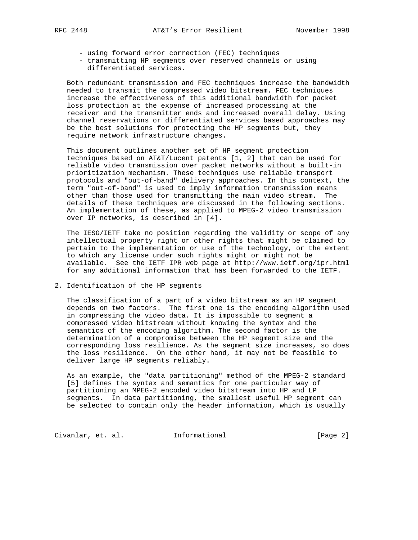- using forward error correction (FEC) techniques
- transmitting HP segments over reserved channels or using differentiated services.

 Both redundant transmission and FEC techniques increase the bandwidth needed to transmit the compressed video bitstream. FEC techniques increase the effectiveness of this additional bandwidth for packet loss protection at the expense of increased processing at the receiver and the transmitter ends and increased overall delay. Using channel reservations or differentiated services based approaches may be the best solutions for protecting the HP segments but, they require network infrastructure changes.

 This document outlines another set of HP segment protection techniques based on AT&T/Lucent patents [1, 2] that can be used for reliable video transmission over packet networks without a built-in prioritization mechanism. These techniques use reliable transport protocols and "out-of-band" delivery approaches. In this context, the term "out-of-band" is used to imply information transmission means other than those used for transmitting the main video stream. The details of these techniques are discussed in the following sections. An implementation of these, as applied to MPEG-2 video transmission over IP networks, is described in [4].

 The IESG/IETF take no position regarding the validity or scope of any intellectual property right or other rights that might be claimed to pertain to the implementation or use of the technology, or the extent to which any license under such rights might or might not be available. See the IETF IPR web page at http://www.ietf.org/ipr.html for any additional information that has been forwarded to the IETF.

2. Identification of the HP segments

 The classification of a part of a video bitstream as an HP segment depends on two factors. The first one is the encoding algorithm used in compressing the video data. It is impossible to segment a compressed video bitstream without knowing the syntax and the semantics of the encoding algorithm. The second factor is the determination of a compromise between the HP segment size and the corresponding loss resilience. As the segment size increases, so does the loss resilience. On the other hand, it may not be feasible to deliver large HP segments reliably.

 As an example, the "data partitioning" method of the MPEG-2 standard [5] defines the syntax and semantics for one particular way of partitioning an MPEG-2 encoded video bitstream into HP and LP segments. In data partitioning, the smallest useful HP segment can be selected to contain only the header information, which is usually

Civanlar, et. al. 1nformational 1999 [Page 2]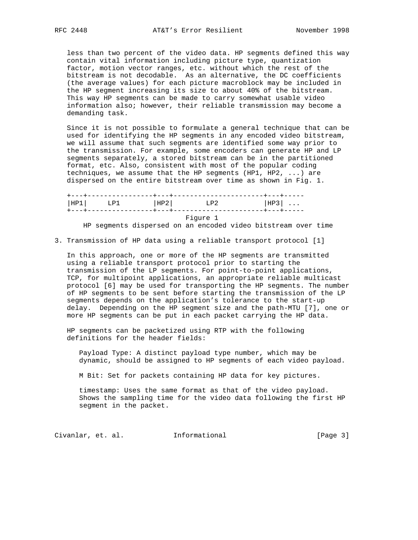less than two percent of the video data. HP segments defined this way contain vital information including picture type, quantization factor, motion vector ranges, etc. without which the rest of the bitstream is not decodable. As an alternative, the DC coefficients (the average values) for each picture macroblock may be included in the HP segment increasing its size to about 40% of the bitstream. This way HP segments can be made to carry somewhat usable video information also; however, their reliable transmission may become a demanding task.

 Since it is not possible to formulate a general technique that can be used for identifying the HP segments in any encoded video bitstream, we will assume that such segments are identified some way prior to the transmission. For example, some encoders can generate HP and LP segments separately, a stored bitstream can be in the partitioned format, etc. Also, consistent with most of the popular coding techniques, we assume that the HP segments (HP1, HP2, ...) are dispersed on the entire bitstream over time as shown in Fig. 1.

 +---+----------------+---+----------------------+---+----- |HP1| LP1 |HP2| LP2 |HP3| ... +---+----------------+---+----------------------+---+----- Figure 1

HP segments dispersed on an encoded video bitstream over time

3. Transmission of HP data using a reliable transport protocol [1]

 In this approach, one or more of the HP segments are transmitted using a reliable transport protocol prior to starting the transmission of the LP segments. For point-to-point applications, TCP, for multipoint applications, an appropriate reliable multicast protocol [6] may be used for transporting the HP segments. The number of HP segments to be sent before starting the transmission of the LP segments depends on the application's tolerance to the start-up delay. Depending on the HP segment size and the path-MTU [7], one or more HP segments can be put in each packet carrying the HP data.

 HP segments can be packetized using RTP with the following definitions for the header fields:

 Payload Type: A distinct payload type number, which may be dynamic, should be assigned to HP segments of each video payload.

M Bit: Set for packets containing HP data for key pictures.

 timestamp: Uses the same format as that of the video payload. Shows the sampling time for the video data following the first HP segment in the packet.

Civanlar, et. al. 1nformational [Page 3]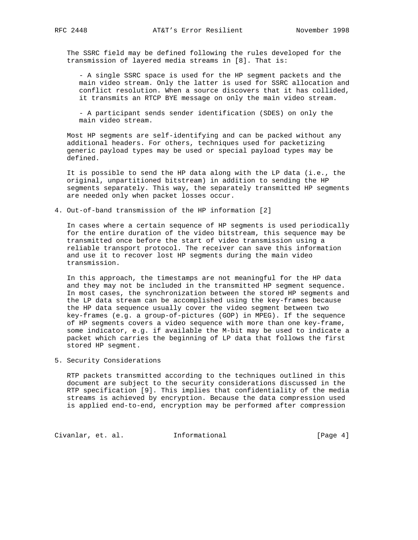The SSRC field may be defined following the rules developed for the transmission of layered media streams in [8]. That is:

 - A single SSRC space is used for the HP segment packets and the main video stream. Only the latter is used for SSRC allocation and conflict resolution. When a source discovers that it has collided, it transmits an RTCP BYE message on only the main video stream.

 - A participant sends sender identification (SDES) on only the main video stream.

 Most HP segments are self-identifying and can be packed without any additional headers. For others, techniques used for packetizing generic payload types may be used or special payload types may be defined.

 It is possible to send the HP data along with the LP data (i.e., the original, unpartitioned bitstream) in addition to sending the HP segments separately. This way, the separately transmitted HP segments are needed only when packet losses occur.

4. Out-of-band transmission of the HP information [2]

 In cases where a certain sequence of HP segments is used periodically for the entire duration of the video bitstream, this sequence may be transmitted once before the start of video transmission using a reliable transport protocol. The receiver can save this information and use it to recover lost HP segments during the main video transmission.

 In this approach, the timestamps are not meaningful for the HP data and they may not be included in the transmitted HP segment sequence. In most cases, the synchronization between the stored HP segments and the LP data stream can be accomplished using the key-frames because the HP data sequence usually cover the video segment between two key-frames (e.g. a group-of-pictures (GOP) in MPEG). If the sequence of HP segments covers a video sequence with more than one key-frame, some indicator, e.g. if available the M-bit may be used to indicate a packet which carries the beginning of LP data that follows the first stored HP segment.

## 5. Security Considerations

 RTP packets transmitted according to the techniques outlined in this document are subject to the security considerations discussed in the RTP specification [9]. This implies that confidentiality of the media streams is achieved by encryption. Because the data compression used is applied end-to-end, encryption may be performed after compression

Civanlar, et. al. 1nformational 1999 [Page 4]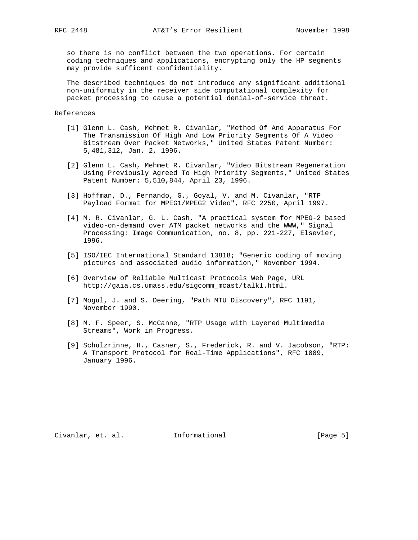so there is no conflict between the two operations. For certain coding techniques and applications, encrypting only the HP segments may provide sufficent confidentiality.

 The described techniques do not introduce any significant additional non-uniformity in the receiver side computational complexity for packet processing to cause a potential denial-of-service threat.

### References

- [1] Glenn L. Cash, Mehmet R. Civanlar, "Method Of And Apparatus For The Transmission Of High And Low Priority Segments Of A Video Bitstream Over Packet Networks," United States Patent Number: 5,481,312, Jan. 2, 1996.
- [2] Glenn L. Cash, Mehmet R. Civanlar, "Video Bitstream Regeneration Using Previously Agreed To High Priority Segments," United States Patent Number: 5,510,844, April 23, 1996.
- [3] Hoffman, D., Fernando, G., Goyal, V. and M. Civanlar, "RTP Payload Format for MPEG1/MPEG2 Video", RFC 2250, April 1997.
- [4] M. R. Civanlar, G. L. Cash, "A practical system for MPEG-2 based video-on-demand over ATM packet networks and the WWW," Signal Processing: Image Communication, no. 8, pp. 221-227, Elsevier, 1996.
- [5] ISO/IEC International Standard 13818; "Generic coding of moving pictures and associated audio information," November 1994.
- [6] Overview of Reliable Multicast Protocols Web Page, URL http://gaia.cs.umass.edu/sigcomm\_mcast/talk1.html.
- [7] Mogul, J. and S. Deering, "Path MTU Discovery", RFC 1191, November 1990.
- [8] M. F. Speer, S. McCanne, "RTP Usage with Layered Multimedia Streams", Work in Progress.
- [9] Schulzrinne, H., Casner, S., Frederick, R. and V. Jacobson, "RTP: A Transport Protocol for Real-Time Applications", RFC 1889, January 1996.

Civanlar, et. al. 1nformational [Page 5]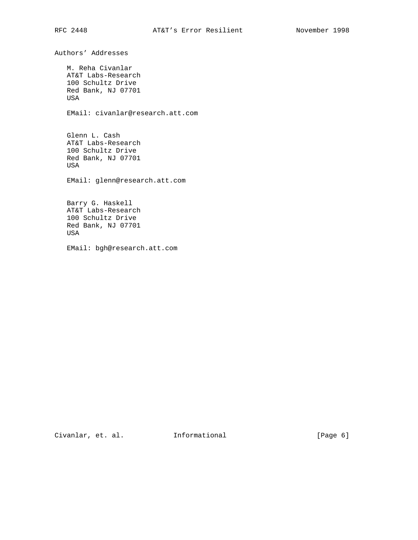Authors' Addresses M. Reha Civanlar AT&T Labs-Research 100 Schultz Drive Red Bank, NJ 07701 USA EMail: civanlar@research.att.com Glenn L. Cash AT&T Labs-Research 100 Schultz Drive Red Bank, NJ 07701 USA EMail: glenn@research.att.com Barry G. Haskell AT&T Labs-Research 100 Schultz Drive Red Bank, NJ 07701 USA EMail: bgh@research.att.com

Civanlar, et. al. 1nformational 1999 [Page 6]